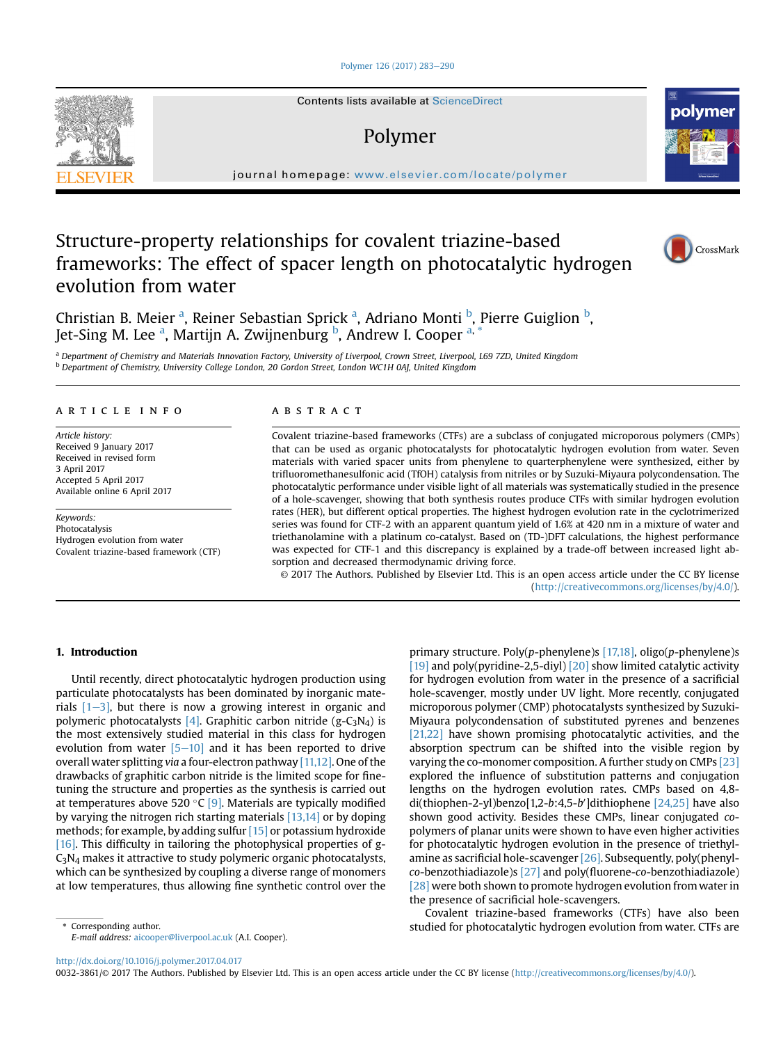#### [Polymer 126 \(2017\) 283](http://dx.doi.org/10.1016/j.polymer.2017.04.017)-[290](http://dx.doi.org/10.1016/j.polymer.2017.04.017)

Contents lists available at ScienceDirect

# Polymer

journal homepage: [www.elsevier.com/locate/polymer](http://www.elsevier.com/locate/polymer)

# Structure-property relationships for covalent triazine-based frameworks: The effect of spacer length on photocatalytic hydrogen evolution from water

Christian B. Meier <sup>a</sup>, Reiner Sebastian Sprick <sup>a</sup>, Adriano Monti <sup>b</sup>, Pierre Guiglion <sup>b</sup>, Jet-Sing M. Lee <sup>a</sup>, Martijn A. Zwijnenburg <sup>b</sup>, Andrew I. Cooper <sup>a, \*</sup>

<sup>a</sup> Department of Chemistry and Materials Innovation Factory, University of Liverpool, Crown Street, Liverpool, L69 7ZD, United Kingdom <sup>b</sup> Department of Chemistry, University College London, 20 Gordon Street, London WC1H 0AJ, United Kingdom

## article info

Article history: Received 9 January 2017 Received in revised form 3 April 2017 Accepted 5 April 2017 Available online 6 April 2017

Keywords: Photocatalysis Hydrogen evolution from water Covalent triazine-based framework (CTF)

# **ABSTRACT**

Covalent triazine-based frameworks (CTFs) are a subclass of conjugated microporous polymers (CMPs) that can be used as organic photocatalysts for photocatalytic hydrogen evolution from water. Seven materials with varied spacer units from phenylene to quarterphenylene were synthesized, either by trifluoromethanesulfonic acid (TfOH) catalysis from nitriles or by Suzuki-Miyaura polycondensation. The photocatalytic performance under visible light of all materials was systematically studied in the presence of a hole-scavenger, showing that both synthesis routes produce CTFs with similar hydrogen evolution rates (HER), but different optical properties. The highest hydrogen evolution rate in the cyclotrimerized series was found for CTF-2 with an apparent quantum yield of 1.6% at 420 nm in a mixture of water and triethanolamine with a platinum co-catalyst. Based on (TD-)DFT calculations, the highest performance was expected for CTF-1 and this discrepancy is explained by a trade-off between increased light absorption and decreased thermodynamic driving force.

© 2017 The Authors. Published by Elsevier Ltd. This is an open access article under the CC BY license [\(http://creativecommons.org/licenses/by/4.0/](http://creativecommons.org/licenses/by/4.0/)).

## 1. Introduction

Until recently, direct photocatalytic hydrogen production using particulate photocatalysts has been dominated by inorganic materials  $[1-3]$  $[1-3]$ , but there is now a growing interest in organic and polymeric photocatalysts [\[4\].](#page-6-0) Graphitic carbon nitride (g-C<sub>3</sub>N<sub>4</sub>) is the most extensively studied material in this class for hydrogen evolution from water  $[5-10]$  $[5-10]$  $[5-10]$  and it has been reported to drive overall water splitting via a four-electron pathway [\[11,12\]](#page-6-0). One of the drawbacks of graphitic carbon nitride is the limited scope for finetuning the structure and properties as the synthesis is carried out at temperatures above 520 °C [\[9\].](#page-6-0) Materials are typically modified by varying the nitrogen rich starting materials [\[13,14\]](#page-6-0) or by doping methods; for example, by adding sulfur [\[15\]](#page-6-0) or potassium hydroxide [\[16\]](#page-6-0). This difficulty in tailoring the photophysical properties of g- $C_3N_4$  makes it attractive to study polymeric organic photocatalysts, which can be synthesized by coupling a diverse range of monomers at low temperatures, thus allowing fine synthetic control over the

E-mail address: [aicooper@liverpool.ac.uk](mailto:aicooper@liverpool.ac.uk) (A.I. Cooper).

primary structure. Poly(p-phenylene)s [\[17,18\],](#page-6-0) oligo(p-phenylene)s [\[19\]](#page-6-0) and poly(pyridine-2,5-diyl) [\[20\]](#page-6-0) show limited catalytic activity for hydrogen evolution from water in the presence of a sacrificial hole-scavenger, mostly under UV light. More recently, conjugated microporous polymer (CMP) photocatalysts synthesized by Suzuki-Miyaura polycondensation of substituted pyrenes and benzenes [\[21,22\]](#page-6-0) have shown promising photocatalytic activities, and the absorption spectrum can be shifted into the visible region by varying the co-monomer composition. A further study on CMPs [\[23\]](#page-6-0) explored the influence of substitution patterns and conjugation lengths on the hydrogen evolution rates. CMPs based on 4,8-  $di(thiophen-2-yl)benzo[1,2-b:4,5-b']dithiophene [24,25] have also$  $di(thiophen-2-yl)benzo[1,2-b:4,5-b']dithiophene [24,25] have also$  $di(thiophen-2-yl)benzo[1,2-b:4,5-b']dithiophene [24,25] have also$ shown good activity. Besides these CMPs, linear conjugated copolymers of planar units were shown to have even higher activities for photocatalytic hydrogen evolution in the presence of triethylamine as sacrificial hole-scavenger [\[26\].](#page-6-0) Subsequently, poly(phenylco-benzothiadiazole)s [\[27\]](#page-6-0) and poly(fluorene-co-benzothiadiazole) [\[28\]](#page-6-0) were both shown to promote hydrogen evolution from water in the presence of sacrificial hole-scavengers.

Covalent triazine-based frameworks (CTFs) have also been Express Corresponding author. This corresponding author. Studied for photocatalytic hydrogen evolution from water. CTFs are

<http://dx.doi.org/10.1016/j.polymer.2017.04.017>

0032-3861/© 2017 The Authors. Published by Elsevier Ltd. This is an open access article under the CC BY license ([http://creativecommons.org/licenses/by/4.0/\)](http://creativecommons.org/licenses/by/4.0/).





CrossMark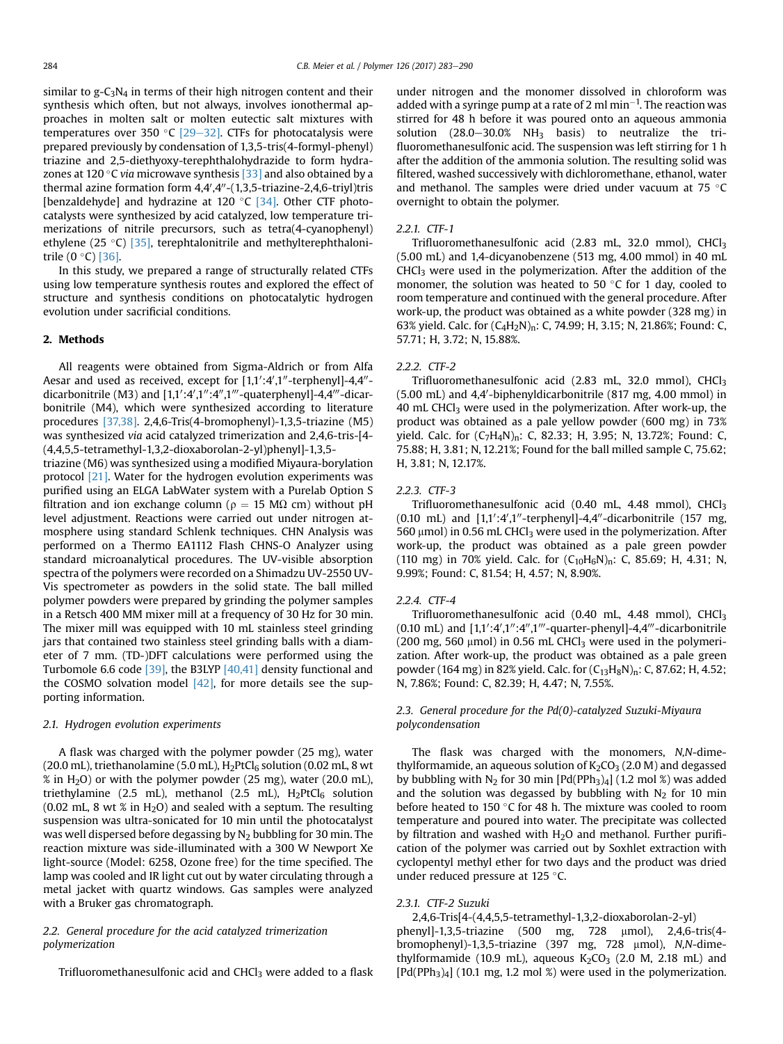similar to  $g - C_3N_4$  in terms of their high nitrogen content and their synthesis which often, but not always, involves ionothermal approaches in molten salt or molten eutectic salt mixtures with temperatures over 350 °C [\[29](#page-6-0)-[32\].](#page-6-0) CTFs for photocatalysis were prepared previously by condensation of 1,3,5-tris(4-formyl-phenyl) triazine and 2,5-diethyoxy-terephthalohydrazide to form hydrazones at 120 $\degree$ C via microwave synthesis [\[33\]](#page-6-0) and also obtained by a thermal azine formation form 4,4′,4″-(1,3,5-triazine-2,4,6-triyl)tris [benzaldehyde] and hydrazine at 120  $^{\circ}$ C [\[34\]](#page-6-0). Other CTF photocatalysts were synthesized by acid catalyzed, low temperature trimerizations of nitrile precursors, such as tetra(4-cyanophenyl) ethylene (25 $\degree$ C) [\[35\],](#page-6-0) terephtalonitrile and methylterephthalonitrile  $(0 °C)$  [\[36\]](#page-6-0).

In this study, we prepared a range of structurally related CTFs using low temperature synthesis routes and explored the effect of structure and synthesis conditions on photocatalytic hydrogen evolution under sacrificial conditions.

## 2. Methods

All reagents were obtained from Sigma-Aldrich or from Alfa Aesar and used as received, except for  $[1,1';4',1''$ -terphenyl]-4,4"dicarbonitrile (M3) and [1,1':4',1":4",1'''-quaterphenyl]-4,4'''-dicarbonitrile (M4), which were synthesized according to literature procedures [\[37,38\]](#page-6-0). 2,4,6-Tris(4-bromophenyl)-1,3,5-triazine (M5) was synthesized via acid catalyzed trimerization and 2,4,6-tris-[4- (4,4,5,5-tetramethyl-1,3,2-dioxaborolan-2-yl)phenyl]-1,3,5-

triazine (M6) was synthesized using a modified Miyaura-borylation protocol [\[21\]](#page-6-0). Water for the hydrogen evolution experiments was purified using an ELGA LabWater system with a Purelab Option S filtration and ion exchange column ( $\rho = 15$  M $\Omega$  cm) without pH level adjustment. Reactions were carried out under nitrogen atmosphere using standard Schlenk techniques. CHN Analysis was performed on a Thermo EA1112 Flash CHNS-O Analyzer using standard microanalytical procedures. The UV-visible absorption spectra of the polymers were recorded on a Shimadzu UV-2550 UV-Vis spectrometer as powders in the solid state. The ball milled polymer powders were prepared by grinding the polymer samples in a Retsch 400 MM mixer mill at a frequency of 30 Hz for 30 min. The mixer mill was equipped with 10 mL stainless steel grinding jars that contained two stainless steel grinding balls with a diameter of 7 mm. (TD-)DFT calculations were performed using the Turbomole 6.6 code [\[39\],](#page-6-0) the B3LYP [\[40,41\]](#page-6-0) density functional and the COSMO solvation model  $[42]$ , for more details see the supporting information.

## 2.1. Hydrogen evolution experiments

A flask was charged with the polymer powder (25 mg), water (20.0 mL), triethanolamine (5.0 mL),  $H_2PtCl_6$  solution (0.02 mL, 8 wt % in H2O) or with the polymer powder (25 mg), water (20.0 mL), triethylamine (2.5 mL), methanol (2.5 mL),  $H_2PtCl_6$  solution (0.02 mL, 8 wt % in  $H_2O$ ) and sealed with a septum. The resulting suspension was ultra-sonicated for 10 min until the photocatalyst was well dispersed before degassing by  $N_2$  bubbling for 30 min. The reaction mixture was side-illuminated with a 300 W Newport Xe light-source (Model: 6258, Ozone free) for the time specified. The lamp was cooled and IR light cut out by water circulating through a metal jacket with quartz windows. Gas samples were analyzed with a Bruker gas chromatograph.

# 2.2. General procedure for the acid catalyzed trimerization polymerization

Trifluoromethanesulfonic acid and  $CHCl<sub>3</sub>$  were added to a flask

under nitrogen and the monomer dissolved in chloroform was added with a syringe pump at a rate of 2 ml min $^{-1}$ . The reaction was stirred for 48 h before it was poured onto an aqueous ammonia solution  $(28.0-30.0\% \text{ NH}_3 \text{ basis})$  to neutralize the trifluoromethanesulfonic acid. The suspension was left stirring for 1 h after the addition of the ammonia solution. The resulting solid was filtered, washed successively with dichloromethane, ethanol, water and methanol. The samples were dried under vacuum at 75  $\degree$ C overnight to obtain the polymer.

#### 2.2.1. CTF-1

Trifluoromethanesulfonic acid (2.83 mL, 32.0 mmol), CHCl3 (5.00 mL) and 1,4-dicyanobenzene (513 mg, 4.00 mmol) in 40 mL  $CHCl<sub>3</sub>$  were used in the polymerization. After the addition of the monomer, the solution was heated to 50  $\degree$ C for 1 day, cooled to room temperature and continued with the general procedure. After work-up, the product was obtained as a white powder (328 mg) in 63% yield. Calc. for  $(C_4H_2N)_n$ : C, 74.99; H, 3.15; N, 21.86%; Found: C, 57.71; H, 3.72; N, 15.88%.

## 222 CTF-2

Trifluoromethanesulfonic acid (2.83 mL, 32.0 mmol), CHCl3 (5.00 mL) and 4,4'-biphenyldicarbonitrile (817 mg, 4.00 mmol) in 40 mL CHC $l_3$  were used in the polymerization. After work-up, the product was obtained as a pale yellow powder (600 mg) in 73% yield. Calc. for  $(C_7H_4N)_n$ : C, 82.33; H, 3.95; N, 13.72%; Found: C, 75.88; H, 3.81; N, 12.21%; Found for the ball milled sample C, 75.62; H, 3.81; N, 12.17%.

#### 2.2.3. CTF-3

Trifluoromethanesulfonic acid (0.40 mL, 4.48 mmol), CHCl<sub>3</sub>  $(0.10 \text{ mL})$  and  $[1,1';4',1''$ -terphenyl]-4,4"-dicarbonitrile  $(157 \text{ mg})$ 560  $\mu$ mol) in 0.56 mL CHCl<sub>3</sub> were used in the polymerization. After work-up, the product was obtained as a pale green powder (110 mg) in 70% yield. Calc. for  $(C_{10}H_6N)_n$ : C, 85.69; H, 4.31; N, 9.99%; Found: C, 81.54; H, 4.57; N, 8.90%.

#### 2.2.4. CTF-4

Trifluoromethanesulfonic acid (0.40 mL, 4.48 mmol), CHCl<sub>3</sub>  $(0.10 \text{ mL})$  and  $[1,1':4',1'':4'',1'''$ -quarter-phenyl]-4,4'''-dicarbonitrile (200 mg, 560  $\mu$ mol) in 0.56 mL CHCl<sub>3</sub> were used in the polymerization. After work-up, the product was obtained as a pale green powder (164 mg) in 82% yield. Calc. for  $(C_{13}H_8N)_n$ : C, 87.62; H, 4.52; N, 7.86%; Found: C, 82.39; H, 4.47; N, 7.55%.

# 2.3. General procedure for the Pd(0)-catalyzed Suzuki-Miyaura polycondensation

The flask was charged with the monomers, N,N-dimethylformamide, an aqueous solution of  $K_2CO_3$  (2.0 M) and degassed by bubbling with  $N_2$  for 30 min [Pd(PPh<sub>3</sub>)<sub>4</sub>] (1.2 mol %) was added and the solution was degassed by bubbling with  $N_2$  for 10 min before heated to 150  $\degree$ C for 48 h. The mixture was cooled to room temperature and poured into water. The precipitate was collected by filtration and washed with  $H<sub>2</sub>O$  and methanol. Further purification of the polymer was carried out by Soxhlet extraction with cyclopentyl methyl ether for two days and the product was dried under reduced pressure at  $125$  °C.

### 2.3.1. CTF-2 Suzuki

2,4,6-Tris[4-(4,4,5,5-tetramethyl-1,3,2-dioxaborolan-2-yl) phenyl]-1,3,5-triazine (500 mg, 728 µmol), 2,4,6-tris(4bromophenyl)-1,3,5-triazine (397 mg, 728 µmol), N,N-dimethylformamide (10.9 mL), aqueous  $K_2CO_3$  (2.0 M, 2.18 mL) and  $[Pd(PPh<sub>3</sub>)<sub>4</sub>]$  (10.1 mg, 1.2 mol %) were used in the polymerization.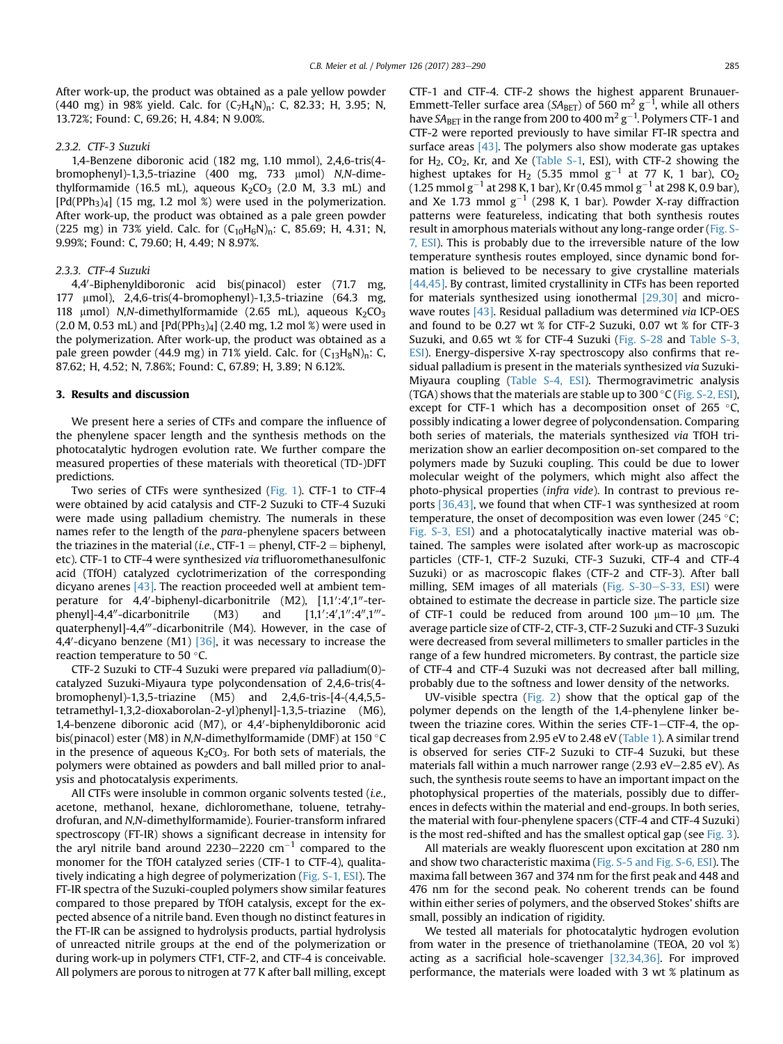After work-up, the product was obtained as a pale yellow powder (440 mg) in 98% yield. Calc. for  $(C_7H_4N)_n$ : C, 82.33; H, 3.95; N, 13.72%; Found: C, 69.26; H, 4.84; N 9.00%.

# 2.3.2. CTF-3 Suzuki

1,4-Benzene diboronic acid (182 mg, 1.10 mmol), 2,4,6-tris(4 bromophenyl)-1,3,5-triazine (400 mg, 733 µmol) N,N-dimethylformamide (16.5 mL), aqueous  $K_2CO_3$  (2.0 M, 3.3 mL) and  $[Pd(PPh<sub>3</sub>)<sub>4</sub>]$  (15 mg, 1.2 mol %) were used in the polymerization. After work-up, the product was obtained as a pale green powder (225 mg) in 73% yield. Calc. for  $(C_{10}H_6N)_n$ : C, 85.69; H, 4.31; N, 9.99%; Found: C, 79.60; H, 4.49; N 8.97%.

#### 2.3.3. CTF-4 Suzuki

4,4'-Biphenyldiboronic acid bis(pinacol) ester (71.7 mg, 177 mmol), 2,4,6-tris(4-bromophenyl)-1,3,5-triazine (64.3 mg, 118  $\mu$ mol) N,N-dimethylformamide (2.65 mL), aqueous K<sub>2</sub>CO<sub>3</sub>  $(2.0 M, 0.53 mL)$  and  $[Pd(PPh<sub>3</sub>)<sub>4</sub>]$   $(2.40 mg, 1.2 mol %$  were used in the polymerization. After work-up, the product was obtained as a pale green powder (44.9 mg) in 71% yield. Calc. for  $(C_{13}H_8N)_{n}$ : C, 87.62; H, 4.52; N, 7.86%; Found: C, 67.89; H, 3.89; N 6.12%.

### 3. Results and discussion

We present here a series of CTFs and compare the influence of the phenylene spacer length and the synthesis methods on the photocatalytic hydrogen evolution rate. We further compare the measured properties of these materials with theoretical (TD-)DFT predictions.

Two series of CTFs were synthesized ([Fig. 1](#page-3-0)). CTF-1 to CTF-4 were obtained by acid catalysis and CTF-2 Suzuki to CTF-4 Suzuki were made using palladium chemistry. The numerals in these names refer to the length of the para-phenylene spacers between the triazines in the material (*i.e.*, CTF-1 = phenyl, CTF-2 = biphenyl, etc). CTF-1 to CTF-4 were synthesized via trifluoromethanesulfonic acid (TfOH) catalyzed cyclotrimerization of the corresponding dicyano arenes [\[43\]](#page-6-0). The reaction proceeded well at ambient temperature for 4,4'-biphenyl-dicarbonitrile (M2), [1,1':4',1''-terphenyl]-4,4"-dicarbonitrile  $(M3)$  and :4′,1″:4″,1‴quaterphenyl]-4,4"'-dicarbonitrile (M4). However, in the case of 4,4'-dicyano benzene (M1) [\[36\]](#page-6-0), it was necessary to increase the reaction temperature to 50 °C.

CTF-2 Suzuki to CTF-4 Suzuki were prepared via palladium(0) catalyzed Suzuki-Miyaura type polycondensation of 2,4,6-tris(4 bromophenyl)-1,3,5-triazine (M5) and 2,4,6-tris-[4-(4,4,5,5 tetramethyl-1,3,2-dioxaborolan-2-yl)phenyl]-1,3,5-triazine (M6), 1,4-benzene diboronic acid (M7), or 4,4'-biphenyldiboronic acid bis(pinacol) ester (M8) in N,N-dimethylformamide (DMF) at 150 °C in the presence of aqueous  $K_2CO_3$ . For both sets of materials, the polymers were obtained as powders and ball milled prior to analysis and photocatalysis experiments.

All CTFs were insoluble in common organic solvents tested (i.e., acetone, methanol, hexane, dichloromethane, toluene, tetrahydrofuran, and N,N-dimethylformamide). Fourier-transform infrared spectroscopy (FT-IR) shows a significant decrease in intensity for the aryl nitrile band around 2230-2220  $cm^{-1}$  compared to the monomer for the TfOH catalyzed series (CTF-1 to CTF-4), qualitatively indicating a high degree of polymerization (Fig. S-1, ESI). The FT-IR spectra of the Suzuki-coupled polymers show similar features compared to those prepared by TfOH catalysis, except for the expected absence of a nitrile band. Even though no distinct features in the FT-IR can be assigned to hydrolysis products, partial hydrolysis of unreacted nitrile groups at the end of the polymerization or during work-up in polymers CTF1, CTF-2, and CTF-4 is conceivable. All polymers are porous to nitrogen at 77 K after ball milling, except CTF-1 and CTF-4. CTF-2 shows the highest apparent Brunauer-Emmett-Teller surface area (SA<sub>BET</sub>) of 560 m<sup>2</sup> g<sup>-1</sup>, while all others have SA $_{\rm BET}$  in the range from 200 to 400  ${\rm m^2\,g^{-1}}$ . Polymers CTF-1 and CTF-2 were reported previously to have similar FT-IR spectra and surface areas  $[43]$ . The polymers also show moderate gas uptakes for  $H_2$ , CO<sub>2</sub>, Kr, and Xe (Table S-1, ESI), with CTF-2 showing the highest uptakes for H<sub>2</sub> (5.35 mmol  $g^{-1}$  at 77 K, 1 bar), CO<sub>2</sub> (1.25 mmol g $^{-1}$  at 298 K, 1 bar), Kr (0.45 mmol g $^{-1}$  at 298 K, 0.9 bar), and Xe 1.73 mmol  $g^{-1}$  (298 K, 1 bar). Powder X-ray diffraction patterns were featureless, indicating that both synthesis routes result in amorphous materials without any long-range order (Fig. S-7, ESI). This is probably due to the irreversible nature of the low temperature synthesis routes employed, since dynamic bond formation is believed to be necessary to give crystalline materials [\[44,45\]](#page-6-0). By contrast, limited crystallinity in CTFs has been reported for materials synthesized using ionothermal [\[29,30\]](#page-6-0) and micro-wave routes [\[43\]](#page-6-0). Residual palladium was determined via ICP-OES and found to be 0.27 wt % for CTF-2 Suzuki, 0.07 wt % for CTF-3 Suzuki, and 0.65 wt % for CTF-4 Suzuki (Fig. S-28 and Table S-3, ESI). Energy-dispersive X-ray spectroscopy also confirms that residual palladium is present in the materials synthesized via Suzuki-Miyaura coupling (Table S-4, ESI). Thermogravimetric analysis (TGA) shows that the materials are stable up to  $300\degree C$  (Fig. S-2, ESI), except for CTF-1 which has a decomposition onset of 265  $\degree$ C, possibly indicating a lower degree of polycondensation. Comparing both series of materials, the materials synthesized via TfOH trimerization show an earlier decomposition on-set compared to the polymers made by Suzuki coupling. This could be due to lower molecular weight of the polymers, which might also affect the photo-physical properties (infra vide). In contrast to previous reports [\[36,43\]](#page-6-0), we found that when CTF-1 was synthesized at room temperature, the onset of decomposition was even lower (245 $\degree$ C; Fig. S-3, ESI) and a photocatalytically inactive material was obtained. The samples were isolated after work-up as macroscopic particles (CTF-1, CTF-2 Suzuki, CTF-3 Suzuki, CTF-4 and CTF-4 Suzuki) or as macroscopic flakes (CTF-2 and CTF-3). After ball milling, SEM images of all materials (Fig. S-30–S-33, ESI) were obtained to estimate the decrease in particle size. The particle size of CTF-1 could be reduced from around 100  $\mu$ m-10  $\mu$ m. The average particle size of CTF-2, CTF-3, CTF-2 Suzuki and CTF-3 Suzuki were decreased from several millimeters to smaller particles in the range of a few hundred micrometers. By contrast, the particle size of CTF-4 and CTF-4 Suzuki was not decreased after ball milling, probably due to the softness and lower density of the networks.

UV-visible spectra [\(Fig. 2](#page-4-0)) show that the optical gap of the polymer depends on the length of the 1,4-phenylene linker between the triazine cores. Within the series CTF-1-CTF-4, the optical gap decreases from 2.95 eV to 2.48 eV [\(Table 1](#page-4-0)). A similar trend is observed for series CTF-2 Suzuki to CTF-4 Suzuki, but these materials fall within a much narrower range  $(2.93 \text{ eV} - 2.85 \text{ eV})$ . As such, the synthesis route seems to have an important impact on the photophysical properties of the materials, possibly due to differences in defects within the material and end-groups. In both series, the material with four-phenylene spacers (CTF-4 and CTF-4 Suzuki) is the most red-shifted and has the smallest optical gap (see [Fig. 3\)](#page-4-0).

All materials are weakly fluorescent upon excitation at 280 nm and show two characteristic maxima (Fig. S-5 and Fig. S-6, ESI). The maxima fall between 367 and 374 nm for the first peak and 448 and 476 nm for the second peak. No coherent trends can be found within either series of polymers, and the observed Stokes' shifts are small, possibly an indication of rigidity.

We tested all materials for photocatalytic hydrogen evolution from water in the presence of triethanolamine (TEOA, 20 vol %) acting as a sacrificial hole-scavenger [\[32,34,36\]](#page-6-0). For improved performance, the materials were loaded with 3 wt % platinum as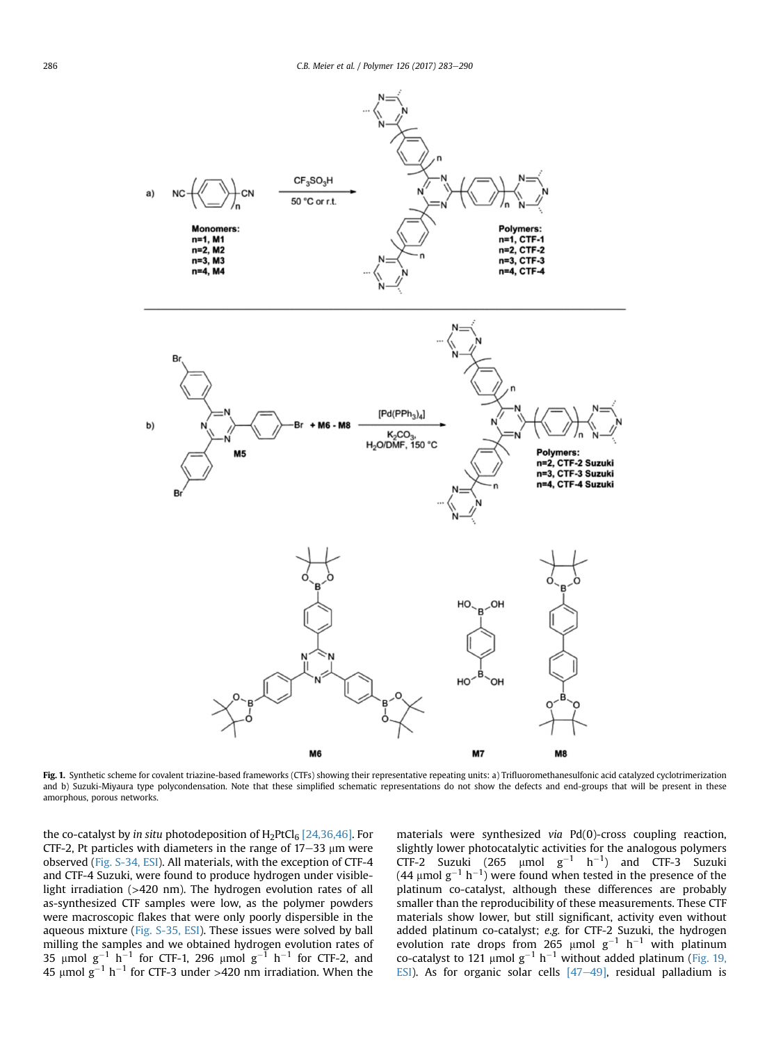<span id="page-3-0"></span>

Fig. 1. Synthetic scheme for covalent triazine-based frameworks (CTFs) showing their representative repeating units: a) Trifluoromethanesulfonic acid catalyzed cyclotrimerization and b) Suzuki-Miyaura type polycondensation. Note that these simplified schematic representations do not show the defects and end-groups that will be present in these amorphous, porous networks.

the co-catalyst by in situ photodeposition of  $H_2PtCl_6$  [\[24,36,46\].](#page-6-0) For CTF-2, Pt particles with diameters in the range of  $17-33$  µm were observed (Fig. S-34, ESI). All materials, with the exception of CTF-4 and CTF-4 Suzuki, were found to produce hydrogen under visiblelight irradiation (>420 nm). The hydrogen evolution rates of all as-synthesized CTF samples were low, as the polymer powders were macroscopic flakes that were only poorly dispersible in the aqueous mixture (Fig. S-35, ESI). These issues were solved by ball milling the samples and we obtained hydrogen evolution rates of 35 µmol  $g^{-1}$  h<sup>-1</sup> for CTF-1, 296 µmol  $g^{-1}$  h<sup>-1</sup> for CTF-2, and 45  $\mu$ mol g $^{-1}$  h $^{-1}$  for CTF-3 under >420 nm irradiation. When the

materials were synthesized via Pd(0)-cross coupling reaction, slightly lower photocatalytic activities for the analogous polymers CTF-2 Suzuki (265  $\mu$ mol g<sup>-1</sup> h<sup>-1</sup>) and CTF-3 Suzuki (44 µmol  $g^{-1}$  h<sup>-1</sup>) were found when tested in the presence of the platinum co-catalyst, although these differences are probably smaller than the reproducibility of these measurements. These CTF materials show lower, but still significant, activity even without added platinum co-catalyst; e.g. for CTF-2 Suzuki, the hydrogen evolution rate drops from 265  $\mu$ mol g<sup>-1</sup> h<sup>-1</sup> with platinum co-catalyst to 121  $\mu$ mol g<sup>-1</sup> h<sup>-1</sup> without added platinum (Fig. 19, ESI). As for organic solar cells  $[47-49]$  $[47-49]$  $[47-49]$ , residual palladium is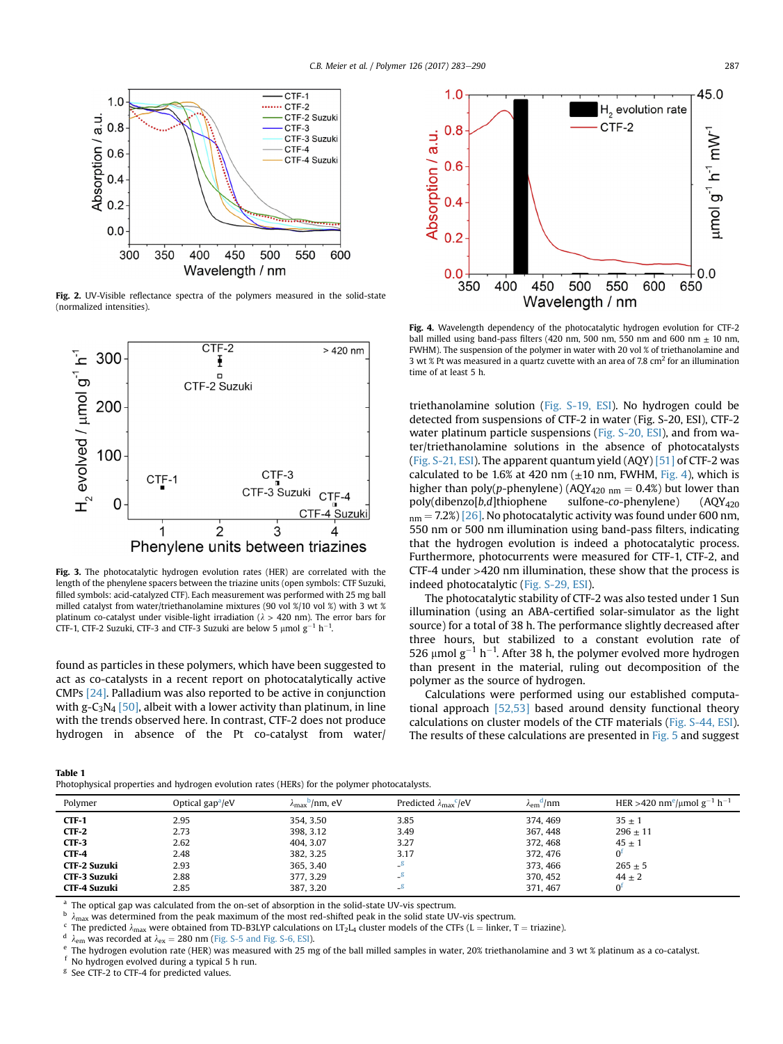<span id="page-4-0"></span>

Fig. 2. UV-Visible reflectance spectra of the polymers measured in the solid-state (normalized intensities).



Fig. 3. The photocatalytic hydrogen evolution rates (HER) are correlated with the length of the phenylene spacers between the triazine units (open symbols: CTF Suzuki, filled symbols: acid-catalyzed CTF). Each measurement was performed with 25 mg ball milled catalyst from water/triethanolamine mixtures (90 vol %/10 vol %) with 3 wt % platinum co-catalyst under visible-light irradiation ( $\lambda > 420$  nm). The error bars for CTF-1, CTF-2 Suzuki, CTF-3 and CTF-3 Suzuki are below 5  $\mu$ mol  $g^{-1}$  h<sup>-1</sup>.

found as particles in these polymers, which have been suggested to act as co-catalysts in a recent report on photocatalytically active CMPs [\[24\].](#page-6-0) Palladium was also reported to be active in conjunction with g-C<sub>3</sub>N<sub>4</sub> [\[50\],](#page-6-0) albeit with a lower activity than platinum, in line with the trends observed here. In contrast, CTF-2 does not produce hydrogen in absence of the Pt co-catalyst from water/



Fig. 4. Wavelength dependency of the photocatalytic hydrogen evolution for CTF-2 ball milled using band-pass filters (420 nm, 500 nm, 550 nm and 600 nm  $+$  10 nm, FWHM). The suspension of the polymer in water with 20 vol % of triethanolamine and 3 wt % Pt was measured in a quartz cuvette with an area of 7.8 cm<sup>2</sup> for an illumination time of at least 5 h.

triethanolamine solution (Fig. S-19, ESI). No hydrogen could be detected from suspensions of CTF-2 in water (Fig. S-20, ESI), CTF-2 water platinum particle suspensions (Fig. S-20, ESI), and from water/triethanolamine solutions in the absence of photocatalysts (Fig. S-21, ESI). The apparent quantum yield (AQY) [\[51\]](#page-6-0) of CTF-2 was calculated to be 1.6% at 420 nm  $(\pm 10 \text{ nm}, \text{FWHM}, \text{Fig. 4})$ , which is higher than poly(p-phenylene) (AQY<sub>420 nm</sub> = 0.4%) but lower than poly(dibenzo[*b*,*d*]thiophene sulfone-*co*-phenylene) (AQY<sub>420</sub>)  $poly(dibenzo[b,d]thiophene)$  $_{nm}$  = 7.2%) [\[26\].](#page-6-0) No photocatalytic activity was found under 600 nm, 550 nm or 500 nm illumination using band-pass filters, indicating that the hydrogen evolution is indeed a photocatalytic process. Furthermore, photocurrents were measured for CTF-1, CTF-2, and CTF-4 under >420 nm illumination, these show that the process is indeed photocatalytic (Fig. S-29, ESI).

The photocatalytic stability of CTF-2 was also tested under 1 Sun illumination (using an ABA-certified solar-simulator as the light source) for a total of 38 h. The performance slightly decreased after three hours, but stabilized to a constant evolution rate of 526 µmol  $g^{-1}$  h<sup>-1</sup>. After 38 h, the polymer evolved more hydrogen than present in the material, ruling out decomposition of the polymer as the source of hydrogen.

Calculations were performed using our established computational approach [\[52,53\]](#page-7-0) based around density functional theory calculations on cluster models of the CTF materials (Fig. S-44, ESI). The results of these calculations are presented in [Fig. 5](#page-5-0) and suggest

 $\mu$ mm HER >420 nm<sup>e</sup>/ $\mu$ mol g<sup>-1</sup> h<sup>-1</sup>

|--|

| ıble 1<br>notophysical properties and hydrogen evolution rates (HERs) for the polymer photocatalysts. |                            |                                           |                                        |                                |            |  |
|-------------------------------------------------------------------------------------------------------|----------------------------|-------------------------------------------|----------------------------------------|--------------------------------|------------|--|
| Polymer                                                                                               | Optical gap $^{\rm a}$ /eV | $\lambda_{\text{max}}^{\text{b}}$ /nm, eV | Predicted $\lambda_{\text{max}}^c$ /eV | $\lambda_{\rm em}^{\rm d}$ /nm | HER > 42   |  |
| CTF-1                                                                                                 | 2.95                       | 354, 3.50                                 | 3.85                                   | 374, 469                       | $35 + 1$   |  |
| CTF-2                                                                                                 | 2.73                       | 398, 3.12                                 | 3.49                                   | 367, 448                       | $296 + 11$ |  |

<sup>a</sup> The optical gap was calculated from the on-set of absorption in the solid-state UV-vis spectrum.

<sup>b</sup>  $\lambda_{\text{max}}$  was determined from the peak maximum of the most red-shifted peak in the solid state UV-vis spectrum.<br>
<sup>c</sup> The predicted  $\lambda_{\text{max}}$  were obtained from TD-B3LYP calculations on LT<sub>2</sub>L<sub>4</sub> cluster models of th

**CTF-3** 2.62 404, 3.07 3.27 372, 468 45 ± 1 **CTF-4** 2.48 2.48 382, 3.25 3.17 372, 476 0<sup>f</sup> **CTF-2 Suzuki** 2.93 365, 3.40  $-$ <sup>g</sup> 365, 3.40  $-$ <sup>g</sup> 373, 466 265  $\pm$  5 **CTF-3 Suzuki** 2.88 377, 3.29  $-8$  370, 452  $44 \pm 2$ **CTF-4 Suzuki** 2.85 387, 3.20  $-$ <sup>g</sup> 371, 467 0<sup>f</sup>

f No hydrogen evolved during a typical 5 h run.<br> $$$  See CTE-2 to CTE-4 for predicted values

See CTF-2 to CTF-4 for predicted values.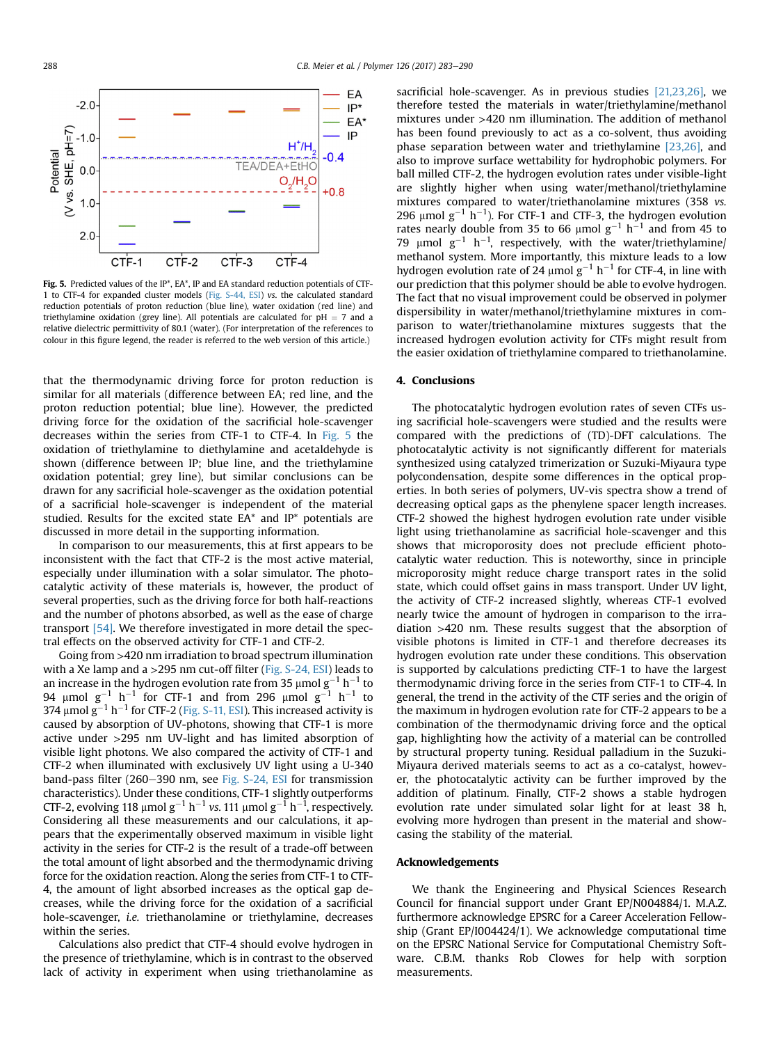<span id="page-5-0"></span>

Fig. 5. Predicted values of the IP<sup>\*</sup>, EA<sup>\*</sup>, IP and EA standard reduction potentials of CTF-1 to CTF-4 for expanded cluster models (Fig. S-44, ESI) vs. the calculated standard reduction potentials of proton reduction (blue line), water oxidation (red line) and triethylamine oxidation (grey line). All potentials are calculated for  $pH = 7$  and a relative dielectric permittivity of 80.1 (water). (For interpretation of the references to colour in this figure legend, the reader is referred to the web version of this article.)

that the thermodynamic driving force for proton reduction is similar for all materials (difference between EA; red line, and the proton reduction potential; blue line). However, the predicted driving force for the oxidation of the sacrificial hole-scavenger decreases within the series from CTF-1 to CTF-4. In Fig. 5 the oxidation of triethylamine to diethylamine and acetaldehyde is shown (difference between IP; blue line, and the triethylamine oxidation potential; grey line), but similar conclusions can be drawn for any sacrificial hole-scavenger as the oxidation potential of a sacrificial hole-scavenger is independent of the material studied. Results for the excited state EA\* and IP\* potentials are discussed in more detail in the supporting information.

In comparison to our measurements, this at first appears to be inconsistent with the fact that CTF-2 is the most active material, especially under illumination with a solar simulator. The photocatalytic activity of these materials is, however, the product of several properties, such as the driving force for both half-reactions and the number of photons absorbed, as well as the ease of charge transport [\[54\].](#page-7-0) We therefore investigated in more detail the spectral effects on the observed activity for CTF-1 and CTF-2.

Going from >420 nm irradiation to broad spectrum illumination with a Xe lamp and a >295 nm cut-off filter (Fig. S-24, ESI) leads to an increase in the hydrogen evolution rate from 35  $\mu$ mol g<sup>-1</sup> h<sup>-1</sup> to 94  $\mu$ mol g<sup>-1</sup> h<sup>-1</sup> for CTF-1 and from 296  $\mu$ mol g<sup>-1</sup> h<sup>-1</sup> to 374  $\mu$ mol  $g^{-1}$  h<sup>-1</sup> for CTF-2 (Fig. S-11, ESI). This increased activity is caused by absorption of UV-photons, showing that CTF-1 is more active under >295 nm UV-light and has limited absorption of visible light photons. We also compared the activity of CTF-1 and CTF-2 when illuminated with exclusively UV light using a U-340 band-pass filter  $(260-390 \text{ nm})$ , see Fig. S-24, ESI for transmission characteristics). Under these conditions, CTF-1 slightly outperforms CTF-2, evolving 118  $\mu$ mol g $^{-1}$  h $^{-1}$  vs. 111  $\mu$ mol g $^{-1}$  h $^{-1}$ , respectively. Considering all these measurements and our calculations, it appears that the experimentally observed maximum in visible light activity in the series for CTF-2 is the result of a trade-off between the total amount of light absorbed and the thermodynamic driving force for the oxidation reaction. Along the series from CTF-1 to CTF-4, the amount of light absorbed increases as the optical gap decreases, while the driving force for the oxidation of a sacrificial hole-scavenger, i.e. triethanolamine or triethylamine, decreases within the series.

Calculations also predict that CTF-4 should evolve hydrogen in the presence of triethylamine, which is in contrast to the observed lack of activity in experiment when using triethanolamine as sacrificial hole-scavenger. As in previous studies [\[21,23,26\]](#page-6-0), we therefore tested the materials in water/triethylamine/methanol mixtures under >420 nm illumination. The addition of methanol has been found previously to act as a co-solvent, thus avoiding phase separation between water and triethylamine [\[23,26\],](#page-6-0) and also to improve surface wettability for hydrophobic polymers. For ball milled CTF-2, the hydrogen evolution rates under visible-light are slightly higher when using water/methanol/triethylamine mixtures compared to water/triethanolamine mixtures (358 vs. 296  $\mu$ mol g<sup>-1</sup> h<sup>-1</sup>). For CTF-1 and CTF-3, the hydrogen evolution rates nearly double from 35 to 66  $\mu$ mol  $g^{-1}$  h<sup>-1</sup> and from 45 to 79  $\mu$ mol g<sup>-1</sup> h<sup>-1</sup>, respectively, with the water/triethylamine/ methanol system. More importantly, this mixture leads to a low hydrogen evolution rate of 24  $\mu$ mol g<sup>-1</sup> h<sup>-1</sup> for CTF-4, in line with our prediction that this polymer should be able to evolve hydrogen. The fact that no visual improvement could be observed in polymer dispersibility in water/methanol/triethylamine mixtures in comparison to water/triethanolamine mixtures suggests that the increased hydrogen evolution activity for CTFs might result from the easier oxidation of triethylamine compared to triethanolamine.

#### 4. Conclusions

The photocatalytic hydrogen evolution rates of seven CTFs using sacrificial hole-scavengers were studied and the results were compared with the predictions of (TD)-DFT calculations. The photocatalytic activity is not significantly different for materials synthesized using catalyzed trimerization or Suzuki-Miyaura type polycondensation, despite some differences in the optical properties. In both series of polymers, UV-vis spectra show a trend of decreasing optical gaps as the phenylene spacer length increases. CTF-2 showed the highest hydrogen evolution rate under visible light using triethanolamine as sacrificial hole-scavenger and this shows that microporosity does not preclude efficient photocatalytic water reduction. This is noteworthy, since in principle microporosity might reduce charge transport rates in the solid state, which could offset gains in mass transport. Under UV light, the activity of CTF-2 increased slightly, whereas CTF-1 evolved nearly twice the amount of hydrogen in comparison to the irradiation >420 nm. These results suggest that the absorption of visible photons is limited in CTF-1 and therefore decreases its hydrogen evolution rate under these conditions. This observation is supported by calculations predicting CTF-1 to have the largest thermodynamic driving force in the series from CTF-1 to CTF-4. In general, the trend in the activity of the CTF series and the origin of the maximum in hydrogen evolution rate for CTF-2 appears to be a combination of the thermodynamic driving force and the optical gap, highlighting how the activity of a material can be controlled by structural property tuning. Residual palladium in the Suzuki-Miyaura derived materials seems to act as a co-catalyst, however, the photocatalytic activity can be further improved by the addition of platinum. Finally, CTF-2 shows a stable hydrogen evolution rate under simulated solar light for at least 38 h, evolving more hydrogen than present in the material and showcasing the stability of the material.

#### Acknowledgements

We thank the Engineering and Physical Sciences Research Council for financial support under Grant EP/N004884/1. M.A.Z. furthermore acknowledge EPSRC for a Career Acceleration Fellowship (Grant EP/I004424/1). We acknowledge computational time on the EPSRC National Service for Computational Chemistry Software. C.B.M. thanks Rob Clowes for help with sorption measurements.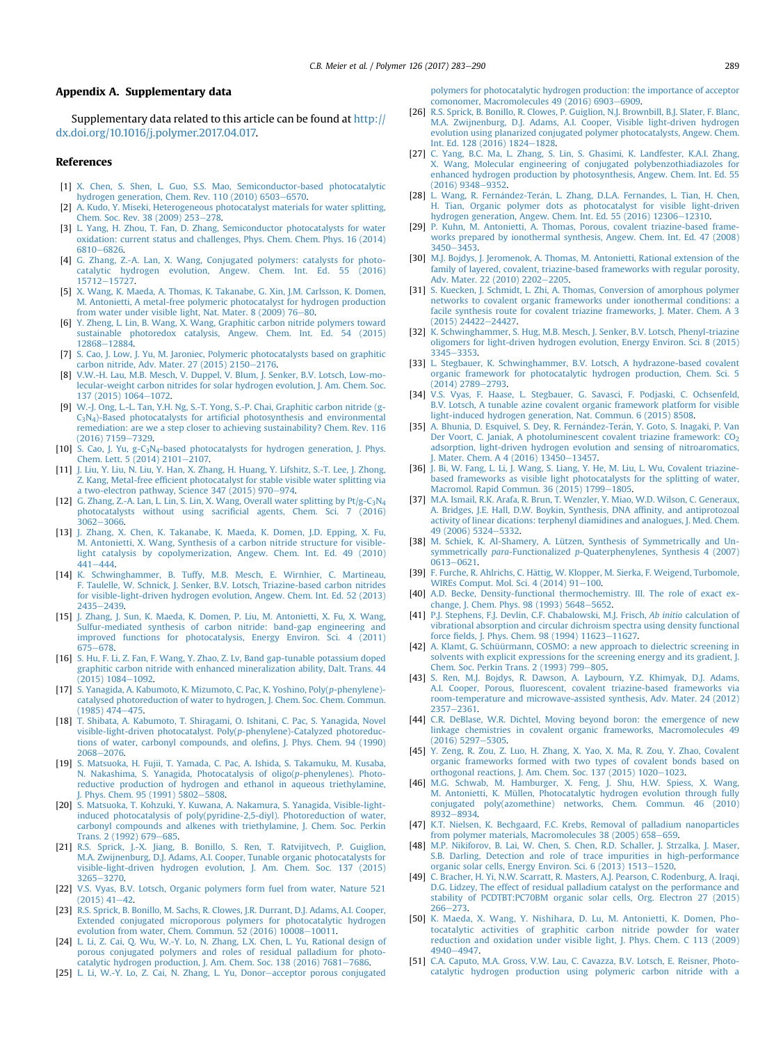#### <span id="page-6-0"></span>Appendix A. Supplementary data

Supplementary data related to this article can be found at [http://](http://dx.doi.org/10.1016/j.polymer.2017.04.017) [dx.doi.org/10.1016/j.polymer.2017.04.017.](http://dx.doi.org/10.1016/j.polymer.2017.04.017)

#### References

- [1] [X. Chen, S. Shen, L. Guo, S.S. Mao, Semiconductor-based photocatalytic](http://refhub.elsevier.com/S0032-3861(17)30385-3/sref1) [hydrogen generation, Chem. Rev. 110 \(2010\) 6503](http://refhub.elsevier.com/S0032-3861(17)30385-3/sref1)-[6570](http://refhub.elsevier.com/S0032-3861(17)30385-3/sref1).
- [2] [A. Kudo, Y. Miseki, Heterogeneous photocatalyst materials for water splitting,](http://refhub.elsevier.com/S0032-3861(17)30385-3/sref2) [Chem. Soc. Rev. 38 \(2009\) 253](http://refhub.elsevier.com/S0032-3861(17)30385-3/sref2)-[278](http://refhub.elsevier.com/S0032-3861(17)30385-3/sref2).
- [3] [L. Yang, H. Zhou, T. Fan, D. Zhang, Semiconductor photocatalysts for water](http://refhub.elsevier.com/S0032-3861(17)30385-3/sref3) [oxidation: current status and challenges, Phys. Chem. Chem. Phys. 16 \(2014\)](http://refhub.elsevier.com/S0032-3861(17)30385-3/sref3) [6810](http://refhub.elsevier.com/S0032-3861(17)30385-3/sref3)-6826
- [4] G. Zhang, Z.-A. Lan, X. Wang, Conjugated polymers: catalysts for photo-<br>catalytic hydrogen evolution. Angew. Chem. Int. Ed. 55 (2016) hydrogen evolution, Angew. Chem. Int. Ed. 55 (2016) [15712](http://refhub.elsevier.com/S0032-3861(17)30385-3/sref4)-[15727](http://refhub.elsevier.com/S0032-3861(17)30385-3/sref4).
- [5] [X. Wang, K. Maeda, A. Thomas, K. Takanabe, G. Xin, J.M. Carlsson, K. Domen,](http://refhub.elsevier.com/S0032-3861(17)30385-3/sref5) [M. Antonietti, A metal-free polymeric photocatalyst for hydrogen production](http://refhub.elsevier.com/S0032-3861(17)30385-3/sref5) from water under visible light, Nat. Mater. 8  $(2009)$  76-[80](http://refhub.elsevier.com/S0032-3861(17)30385-3/sref5).
- [6] [Y. Zheng, L. Lin, B. Wang, X. Wang, Graphitic carbon nitride polymers toward](http://refhub.elsevier.com/S0032-3861(17)30385-3/sref6) [sustainable photoredox catalysis, Angew. Chem. Int. Ed. 54 \(2015\)](http://refhub.elsevier.com/S0032-3861(17)30385-3/sref6) [12868](http://refhub.elsevier.com/S0032-3861(17)30385-3/sref6)-[12884](http://refhub.elsevier.com/S0032-3861(17)30385-3/sref6).
- [7] [S. Cao, J. Low, J. Yu, M. Jaroniec, Polymeric photocatalysts based on graphitic](http://refhub.elsevier.com/S0032-3861(17)30385-3/sref7) [carbon nitride, Adv. Mater. 27 \(2015\) 2150](http://refhub.elsevier.com/S0032-3861(17)30385-3/sref7)-[2176](http://refhub.elsevier.com/S0032-3861(17)30385-3/sref7).
- [8] [V.W.-H. Lau, M.B. Mesch, V. Duppel, V. Blum, J. Senker, B.V. Lotsch, Low-mo](http://refhub.elsevier.com/S0032-3861(17)30385-3/sref8)[lecular-weight carbon nitrides for solar hydrogen evolution, J. Am. Chem. Soc.](http://refhub.elsevier.com/S0032-3861(17)30385-3/sref8) [137 \(2015\) 1064](http://refhub.elsevier.com/S0032-3861(17)30385-3/sref8)-[1072.](http://refhub.elsevier.com/S0032-3861(17)30385-3/sref8)
- [9] [W.-J. Ong, L.-L. Tan, Y.H. Ng, S.-T. Yong, S.-P. Chai, Graphitic carbon nitride \(g-](http://refhub.elsevier.com/S0032-3861(17)30385-3/sref9)[C3N4\)](http://refhub.elsevier.com/S0032-3861(17)30385-3/sref9)-Based photocatalysts for artifi[cial photosynthesis and environmental](http://refhub.elsevier.com/S0032-3861(17)30385-3/sref9) [remediation: are we a step closer to achieving sustainability? Chem. Rev. 116](http://refhub.elsevier.com/S0032-3861(17)30385-3/sref9)  $(2016)$  7159-[7329.](http://refhub.elsevier.com/S0032-3861(17)30385-3/sref9)
- [10] S. Cao, J. Yu, g-C<sub>3</sub>N<sub>4</sub>-based photocatalysts for hydrogen generation, J. Phys. [Chem. Lett. 5 \(2014\) 2101](http://refhub.elsevier.com/S0032-3861(17)30385-3/sref10)-[2107.](http://refhub.elsevier.com/S0032-3861(17)30385-3/sref10)
- [11] [J. Liu, Y. Liu, N. Liu, Y. Han, X. Zhang, H. Huang, Y. Lifshitz, S.-T. Lee, J. Zhong,](http://refhub.elsevier.com/S0032-3861(17)30385-3/sref11) Z. Kang, Metal-free effi[cient photocatalyst for stable visible water splitting via](http://refhub.elsevier.com/S0032-3861(17)30385-3/sref11) [a two-electron pathway, Science 347 \(2015\) 970](http://refhub.elsevier.com/S0032-3861(17)30385-3/sref11)-[974](http://refhub.elsevier.com/S0032-3861(17)30385-3/sref11).
- [12] G. Zhang, Z.-A. Lan, L. Lin, S. Lin, X. Wang, Overall water splitting by  $Pt/g-C_3N_4$ [photocatalysts without using sacri](http://refhub.elsevier.com/S0032-3861(17)30385-3/sref12)ficial agents, Chem. Sci. 7 (2016)  $3062 - 3066.$  $3062 - 3066.$  $3062 - 3066.$  $3062 - 3066.$
- [13] [J. Zhang, X. Chen, K. Takanabe, K. Maeda, K. Domen, J.D. Epping, X. Fu,](http://refhub.elsevier.com/S0032-3861(17)30385-3/sref13) [M. Antonietti, X. Wang, Synthesis of a carbon nitride structure for visible](http://refhub.elsevier.com/S0032-3861(17)30385-3/sref13)[light catalysis by copolymerization, Angew. Chem. Int. Ed. 49 \(2010\)](http://refhub.elsevier.com/S0032-3861(17)30385-3/sref13)  $441 - 444$  $441 - 444$  $441 - 444$
- [14] [K. Schwinghammer, B. Tuffy, M.B. Mesch, E. Wirnhier, C. Martineau,](http://refhub.elsevier.com/S0032-3861(17)30385-3/sref14) [F. Taulelle, W. Schnick, J. Senker, B.V. Lotsch, Triazine-based carbon nitrides](http://refhub.elsevier.com/S0032-3861(17)30385-3/sref14) [for visible-light-driven hydrogen evolution, Angew. Chem. Int. Ed. 52 \(2013\)](http://refhub.elsevier.com/S0032-3861(17)30385-3/sref14) [2435](http://refhub.elsevier.com/S0032-3861(17)30385-3/sref14)-[2439](http://refhub.elsevier.com/S0032-3861(17)30385-3/sref14).
- [15] [J. Zhang, J. Sun, K. Maeda, K. Domen, P. Liu, M. Antonietti, X. Fu, X. Wang,](http://refhub.elsevier.com/S0032-3861(17)30385-3/sref15) [Sulfur-mediated synthesis of carbon nitride: band-gap engineering and](http://refhub.elsevier.com/S0032-3861(17)30385-3/sref15) [improved functions for photocatalysis, Energy Environ. Sci. 4 \(2011\)](http://refhub.elsevier.com/S0032-3861(17)30385-3/sref15) [675](http://refhub.elsevier.com/S0032-3861(17)30385-3/sref15)-[678.](http://refhub.elsevier.com/S0032-3861(17)30385-3/sref15)
- [16] [S. Hu, F. Li, Z. Fan, F. Wang, Y. Zhao, Z. Lv, Band gap-tunable potassium doped](http://refhub.elsevier.com/S0032-3861(17)30385-3/sref16) [graphitic carbon nitride with enhanced mineralization ability, Dalt. Trans. 44](http://refhub.elsevier.com/S0032-3861(17)30385-3/sref16)  $(2015)$  1084-[1092](http://refhub.elsevier.com/S0032-3861(17)30385-3/sref16).
- [17] [S. Yanagida, A. Kabumoto, K. Mizumoto, C. Pac, K. Yoshino, Poly\(](http://refhub.elsevier.com/S0032-3861(17)30385-3/sref17)p-phenylene) [catalysed photoreduction of water to hydrogen, J. Chem. Soc. Chem. Commun.](http://refhub.elsevier.com/S0032-3861(17)30385-3/sref17)  $(1985)$  474 $-475$ .
- [18] [T. Shibata, A. Kabumoto, T. Shiragami, O. Ishitani, C. Pac, S. Yanagida, Novel](http://refhub.elsevier.com/S0032-3861(17)30385-3/sref18) [visible-light-driven photocatalyst. Poly\(](http://refhub.elsevier.com/S0032-3861(17)30385-3/sref18)p-phenylene)-Catalyzed photoreduc[tions of water, carbonyl compounds, and ole](http://refhub.elsevier.com/S0032-3861(17)30385-3/sref18)fins, J. Phys. Chem. 94 (1990) [2068](http://refhub.elsevier.com/S0032-3861(17)30385-3/sref18)-[2076](http://refhub.elsevier.com/S0032-3861(17)30385-3/sref18)
- [19] [S. Matsuoka, H. Fujii, T. Yamada, C. Pac, A. Ishida, S. Takamuku, M. Kusaba,](http://refhub.elsevier.com/S0032-3861(17)30385-3/sref19) [N. Nakashima, S. Yanagida, Photocatalysis of oligo\(](http://refhub.elsevier.com/S0032-3861(17)30385-3/sref19)p-phenylenes). Photo[reductive production of hydrogen and ethanol in aqueous triethylamine,](http://refhub.elsevier.com/S0032-3861(17)30385-3/sref19) [J. Phys. Chem. 95 \(1991\) 5802](http://refhub.elsevier.com/S0032-3861(17)30385-3/sref19)-[5808](http://refhub.elsevier.com/S0032-3861(17)30385-3/sref19).
- [20] [S. Matsuoka, T. Kohzuki, Y. Kuwana, A. Nakamura, S. Yanagida, Visible-light](http://refhub.elsevier.com/S0032-3861(17)30385-3/sref20)[induced photocatalysis of poly\(pyridine-2,5-diyl\). Photoreduction of water,](http://refhub.elsevier.com/S0032-3861(17)30385-3/sref20) [carbonyl compounds and alkenes with triethylamine, J. Chem. Soc. Perkin](http://refhub.elsevier.com/S0032-3861(17)30385-3/sref20) [Trans. 2 \(1992\) 679](http://refhub.elsevier.com/S0032-3861(17)30385-3/sref20)-[685](http://refhub.elsevier.com/S0032-3861(17)30385-3/sref20).
- [21] [R.S. Sprick, J.-X. Jiang, B. Bonillo, S. Ren, T. Ratvijitvech, P. Guiglion,](http://refhub.elsevier.com/S0032-3861(17)30385-3/sref21) [M.A. Zwijnenburg, D.J. Adams, A.I. Cooper, Tunable organic photocatalysts for](http://refhub.elsevier.com/S0032-3861(17)30385-3/sref21) [visible-light-driven hydrogen evolution, J. Am. Chem. Soc. 137 \(2015\)](http://refhub.elsevier.com/S0032-3861(17)30385-3/sref21) [3265](http://refhub.elsevier.com/S0032-3861(17)30385-3/sref21)-[3270](http://refhub.elsevier.com/S0032-3861(17)30385-3/sref21)
- [22] [V.S. Vyas, B.V. Lotsch, Organic polymers form fuel from water, Nature 521](http://refhub.elsevier.com/S0032-3861(17)30385-3/sref22)  $(2015)$  41-[42](http://refhub.elsevier.com/S0032-3861(17)30385-3/sref22).
- [23] [R.S. Sprick, B. Bonillo, M. Sachs, R. Clowes, J.R. Durrant, D.J. Adams, A.I. Cooper,](http://refhub.elsevier.com/S0032-3861(17)30385-3/sref23) [Extended conjugated microporous polymers for photocatalytic hydrogen](http://refhub.elsevier.com/S0032-3861(17)30385-3/sref23) [evolution from water, Chem. Commun. 52 \(2016\) 10008](http://refhub.elsevier.com/S0032-3861(17)30385-3/sref23)-[10011.](http://refhub.elsevier.com/S0032-3861(17)30385-3/sref23)
- [24] [L. Li, Z. Cai, Q. Wu, W.-Y. Lo, N. Zhang, L.X. Chen, L. Yu, Rational design of](http://refhub.elsevier.com/S0032-3861(17)30385-3/sref24) [porous conjugated polymers and roles of residual palladium for photo](http://refhub.elsevier.com/S0032-3861(17)30385-3/sref24)[catalytic hydrogen production, J. Am. Chem. Soc. 138 \(2016\) 7681](http://refhub.elsevier.com/S0032-3861(17)30385-3/sref24)-[7686.](http://refhub.elsevier.com/S0032-3861(17)30385-3/sref24)
- [25] [L. Li, W.-Y. Lo, Z. Cai, N. Zhang, L. Yu, Donor](http://refhub.elsevier.com/S0032-3861(17)30385-3/sref25)-[acceptor porous conjugated](http://refhub.elsevier.com/S0032-3861(17)30385-3/sref25)

[polymers for photocatalytic hydrogen production: the importance of acceptor](http://refhub.elsevier.com/S0032-3861(17)30385-3/sref25) comonomer, Macromolecules  $49$  (2016) 6903-[6909](http://refhub.elsevier.com/S0032-3861(17)30385-3/sref25).

- [26] [R.S. Sprick, B. Bonillo, R. Clowes, P. Guiglion, N.J. Brownbill, B.J. Slater, F. Blanc,](http://refhub.elsevier.com/S0032-3861(17)30385-3/sref26) [M.A. Zwijnenburg, D.J. Adams, A.I. Cooper, Visible light-driven hydrogen](http://refhub.elsevier.com/S0032-3861(17)30385-3/sref26) [evolution using planarized conjugated polymer photocatalysts, Angew. Chem.](http://refhub.elsevier.com/S0032-3861(17)30385-3/sref26) [Int. Ed. 128 \(2016\) 1824](http://refhub.elsevier.com/S0032-3861(17)30385-3/sref26)-[1828](http://refhub.elsevier.com/S0032-3861(17)30385-3/sref26).
- [27] [C. Yang, B.C. Ma, L. Zhang, S. Lin, S. Ghasimi, K. Landfester, K.A.I. Zhang,](http://refhub.elsevier.com/S0032-3861(17)30385-3/sref27) [X. Wang, Molecular engineering of conjugated polybenzothiadiazoles for](http://refhub.elsevier.com/S0032-3861(17)30385-3/sref27) [enhanced hydrogen production by photosynthesis, Angew. Chem. Int. Ed. 55](http://refhub.elsevier.com/S0032-3861(17)30385-3/sref27)  $(2016)$   $9348 - 9352$  $9348 - 9352$ .
- [28] [L. Wang, R. Fern](http://refhub.elsevier.com/S0032-3861(17)30385-3/sref28)á[ndez-Ter](http://refhub.elsevier.com/S0032-3861(17)30385-3/sref28)án, L. Zhang, D.L.A. Fernandes, L. Tian, H. Chen [H. Tian, Organic polymer dots as photocatalyst for visible light-driven](http://refhub.elsevier.com/S0032-3861(17)30385-3/sref28) hydrogen generation, Angew. Chem. Int. Ed. 55  $(2016)$  12306-[12310.](http://refhub.elsevier.com/S0032-3861(17)30385-3/sref28)
- [29] [P. Kuhn, M. Antonietti, A. Thomas, Porous, covalent triazine-based frame](http://refhub.elsevier.com/S0032-3861(17)30385-3/sref29)[works prepared by ionothermal synthesis, Angew. Chem. Int. Ed. 47 \(2008\)](http://refhub.elsevier.com/S0032-3861(17)30385-3/sref29) [3450](http://refhub.elsevier.com/S0032-3861(17)30385-3/sref29)-[3453](http://refhub.elsevier.com/S0032-3861(17)30385-3/sref29).
- [30] M.J. Boidys, J. Jeromenok, A. Thomas, M. Antonietti, Rational extension of the [family of layered, covalent, triazine-based frameworks with regular porosity,](http://refhub.elsevier.com/S0032-3861(17)30385-3/sref30) [Adv. Mater. 22 \(2010\) 2202](http://refhub.elsevier.com/S0032-3861(17)30385-3/sref30)-[2205.](http://refhub.elsevier.com/S0032-3861(17)30385-3/sref30)
- [31] [S. Kuecken, J. Schmidt, L. Zhi, A. Thomas, Conversion of amorphous polymer](http://refhub.elsevier.com/S0032-3861(17)30385-3/sref31) [networks to covalent organic frameworks under ionothermal conditions: a](http://refhub.elsevier.com/S0032-3861(17)30385-3/sref31) [facile synthesis route for covalent triazine frameworks, J. Mater. Chem. A 3](http://refhub.elsevier.com/S0032-3861(17)30385-3/sref31)  $(2015)$   $24422 - 24427$ .
- [32] [K. Schwinghammer, S. Hug, M.B. Mesch, J. Senker, B.V. Lotsch, Phenyl-triazine](http://refhub.elsevier.com/S0032-3861(17)30385-3/sref32) [oligomers for light-driven hydrogen evolution, Energy Environ. Sci. 8 \(2015\)](http://refhub.elsevier.com/S0032-3861(17)30385-3/sref32) [3345](http://refhub.elsevier.com/S0032-3861(17)30385-3/sref32)-[3353](http://refhub.elsevier.com/S0032-3861(17)30385-3/sref32)
- [33] [L. Stegbauer, K. Schwinghammer, B.V. Lotsch, A hydrazone-based covalent](http://refhub.elsevier.com/S0032-3861(17)30385-3/sref33) [organic framework for photocatalytic hydrogen production, Chem. Sci. 5](http://refhub.elsevier.com/S0032-3861(17)30385-3/sref33)  $(2014)$   $2789 - 2793$  $2789 - 2793$ .
- [34] [V.S. Vyas, F. Haase, L. Stegbauer, G. Savasci, F. Podjaski, C. Ochsenfeld,](http://refhub.elsevier.com/S0032-3861(17)30385-3/sref34) [B.V. Lotsch, A tunable azine covalent organic framework platform for visible](http://refhub.elsevier.com/S0032-3861(17)30385-3/sref34) [light-induced hydrogen generation, Nat. Commun. 6 \(2015\) 8508.](http://refhub.elsevier.com/S0032-3861(17)30385-3/sref34)
- [35] A. Bhunia, D. Esquivel, S. Dey, R. Fernández-Terán, Y. Goto, S. Inagaki, P. Van Der Voort, C. Janiak, A photoluminescent covalent triazine framework: CO<sub>2</sub> [adsorption, light-driven hydrogen evolution and sensing of nitroaromatics,](http://refhub.elsevier.com/S0032-3861(17)30385-3/sref35) . Mater. Chem. A 4 (2016) 13450-[13457](http://refhub.elsevier.com/S0032-3861(17)30385-3/sref35).
- [36] [J. Bi, W. Fang, L. Li, J. Wang, S. Liang, Y. He, M. Liu, L. Wu, Covalent triazine](http://refhub.elsevier.com/S0032-3861(17)30385-3/sref36)[based frameworks as visible light photocatalysts for the splitting of water,](http://refhub.elsevier.com/S0032-3861(17)30385-3/sref36) [Macromol. Rapid Commun. 36 \(2015\) 1799](http://refhub.elsevier.com/S0032-3861(17)30385-3/sref36)-[1805.](http://refhub.elsevier.com/S0032-3861(17)30385-3/sref36)
- [37] [M.A. Ismail, R.K. Arafa, R. Brun, T. Wenzler, Y. Miao, W.D. Wilson, C. Generaux,](http://refhub.elsevier.com/S0032-3861(17)30385-3/sref37) [A. Bridges, J.E. Hall, D.W. Boykin, Synthesis, DNA af](http://refhub.elsevier.com/S0032-3861(17)30385-3/sref37)finity, and antiprotozoal [activity of linear dications: terphenyl diamidines and analogues, J. Med. Chem.](http://refhub.elsevier.com/S0032-3861(17)30385-3/sref37) [49 \(2006\) 5324](http://refhub.elsevier.com/S0032-3861(17)30385-3/sref37)-[5332](http://refhub.elsevier.com/S0032-3861(17)30385-3/sref37).
- [38] [M. Schiek, K. Al-Shamery, A. Lützen, Synthesis of Symmetrically and Un](http://refhub.elsevier.com/S0032-3861(17)30385-3/sref38)symmetrically para-Functionalized p[-Quaterphenylenes, Synthesis 4 \(2007\)](http://refhub.elsevier.com/S0032-3861(17)30385-3/sref38)  $0613 - 0621$  $0613 - 0621$  $0613 - 0621$ .
- [39] F. Furche, R. Ahlrichs, C. Hättig, W. Klopper, M. Sierka, F. Weigend, Turbomole, [WIREs Comput. Mol. Sci. 4 \(2014\) 91](http://refhub.elsevier.com/S0032-3861(17)30385-3/sref39)-[100](http://refhub.elsevier.com/S0032-3861(17)30385-3/sref39).
- [40] [A.D. Becke, Density-functional thermochemistry. III. The role of exact ex](http://refhub.elsevier.com/S0032-3861(17)30385-3/sref40)[change, J. Chem. Phys. 98 \(1993\) 5648](http://refhub.elsevier.com/S0032-3861(17)30385-3/sref40)-[5652](http://refhub.elsevier.com/S0032-3861(17)30385-3/sref40).
- [41] [P.J. Stephens, F.J. Devlin, C.F. Chabalowski, M.J. Frisch,](http://refhub.elsevier.com/S0032-3861(17)30385-3/sref41) Ab initio calculation of [vibrational absorption and circular dichroism spectra using density functional](http://refhub.elsevier.com/S0032-3861(17)30385-3/sref41) force fi[elds, J. Phys. Chem. 98 \(1994\) 11623](http://refhub.elsevier.com/S0032-3861(17)30385-3/sref41)-[11627.](http://refhub.elsevier.com/S0032-3861(17)30385-3/sref41)
- [42] [A. Klamt, G. Schüürmann, COSMO: a new approach to dielectric screening in](http://refhub.elsevier.com/S0032-3861(17)30385-3/sref42) [solvents with explicit expressions for the screening energy and its gradient, J.](http://refhub.elsevier.com/S0032-3861(17)30385-3/sref42) [Chem. Soc. Perkin Trans. 2 \(1993\) 799](http://refhub.elsevier.com/S0032-3861(17)30385-3/sref42)-[805](http://refhub.elsevier.com/S0032-3861(17)30385-3/sref42).
- [43] [S. Ren, M.J. Bojdys, R. Dawson, A. Laybourn, Y.Z. Khimyak, D.J. Adams,](http://refhub.elsevier.com/S0032-3861(17)30385-3/sref43) A.I. Cooper, Porous, fl[uorescent, covalent triazine-based frameworks via](http://refhub.elsevier.com/S0032-3861(17)30385-3/sref43) [room-temperature and microwave-assisted synthesis, Adv. Mater. 24 \(2012\)](http://refhub.elsevier.com/S0032-3861(17)30385-3/sref43)  $2357 - 2361.$  $2357 - 2361.$  $2357 - 2361.$  $2357 - 2361.$
- [44] [C.R. DeBlase, W.R. Dichtel, Moving beyond boron: the emergence of new](http://refhub.elsevier.com/S0032-3861(17)30385-3/sref44) [linkage chemistries in covalent organic frameworks, Macromolecules 49](http://refhub.elsevier.com/S0032-3861(17)30385-3/sref44)  $(2016)$  5297-[5305](http://refhub.elsevier.com/S0032-3861(17)30385-3/sref44).
- [45] [Y. Zeng, R. Zou, Z. Luo, H. Zhang, X. Yao, X. Ma, R. Zou, Y. Zhao, Covalent](http://refhub.elsevier.com/S0032-3861(17)30385-3/sref45) [organic frameworks formed with two types of covalent bonds based on](http://refhub.elsevier.com/S0032-3861(17)30385-3/sref45) [orthogonal reactions, J. Am. Chem. Soc. 137 \(2015\) 1020](http://refhub.elsevier.com/S0032-3861(17)30385-3/sref45)-[1023.](http://refhub.elsevier.com/S0032-3861(17)30385-3/sref45)
- [46] [M.G. Schwab, M. Hamburger, X. Feng, J. Shu, H.W. Spiess, X. Wang,](http://refhub.elsevier.com/S0032-3861(17)30385-3/sref46) [M. Antonietti, K. Müllen, Photocatalytic hydrogen evolution through fully](http://refhub.elsevier.com/S0032-3861(17)30385-3/sref46) [conjugated poly\(azomethine\) networks, Chem. Commun. 46 \(2010\)](http://refhub.elsevier.com/S0032-3861(17)30385-3/sref46) [8932](http://refhub.elsevier.com/S0032-3861(17)30385-3/sref46)-[8934](http://refhub.elsevier.com/S0032-3861(17)30385-3/sref46).
- [47] [K.T. Nielsen, K. Bechgaard, F.C. Krebs, Removal of palladium nanoparticles](http://refhub.elsevier.com/S0032-3861(17)30385-3/sref47) [from polymer materials, Macromolecules 38 \(2005\) 658](http://refhub.elsevier.com/S0032-3861(17)30385-3/sref47)-[659.](http://refhub.elsevier.com/S0032-3861(17)30385-3/sref47)
- [48] [M.P. Nikiforov, B. Lai, W. Chen, S. Chen, R.D. Schaller, J. Strzalka, J. Maser,](http://refhub.elsevier.com/S0032-3861(17)30385-3/sref48) [S.B. Darling, Detection and role of trace impurities in high-performance](http://refhub.elsevier.com/S0032-3861(17)30385-3/sref48) [organic solar cells, Energy Environ. Sci. 6 \(2013\) 1513](http://refhub.elsevier.com/S0032-3861(17)30385-3/sref48)-[1520.](http://refhub.elsevier.com/S0032-3861(17)30385-3/sref48)
- [49] [C. Bracher, H. Yi, N.W. Scarratt, R. Masters, A.J. Pearson, C. Rodenburg, A. Iraqi,](http://refhub.elsevier.com/S0032-3861(17)30385-3/sref49) [D.G. Lidzey, The effect of residual palladium catalyst on the performance and](http://refhub.elsevier.com/S0032-3861(17)30385-3/sref49) [stability of PCDTBT:PC70BM organic solar cells, Org. Electron 27 \(2015\)](http://refhub.elsevier.com/S0032-3861(17)30385-3/sref49)  $266 - 273$  $266 - 273$
- [50] [K. Maeda, X. Wang, Y. Nishihara, D. Lu, M. Antonietti, K. Domen, Pho](http://refhub.elsevier.com/S0032-3861(17)30385-3/sref50)[tocatalytic activities of graphitic carbon nitride powder for water](http://refhub.elsevier.com/S0032-3861(17)30385-3/sref50) [reduction and oxidation under visible light, J. Phys. Chem. C 113 \(2009\)](http://refhub.elsevier.com/S0032-3861(17)30385-3/sref50) [4940](http://refhub.elsevier.com/S0032-3861(17)30385-3/sref50)-[4947](http://refhub.elsevier.com/S0032-3861(17)30385-3/sref50).
- [51] [C.A. Caputo, M.A. Gross, V.W. Lau, C. Cavazza, B.V. Lotsch, E. Reisner, Photo](http://refhub.elsevier.com/S0032-3861(17)30385-3/sref51)[catalytic hydrogen production using polymeric carbon nitride with a](http://refhub.elsevier.com/S0032-3861(17)30385-3/sref51)